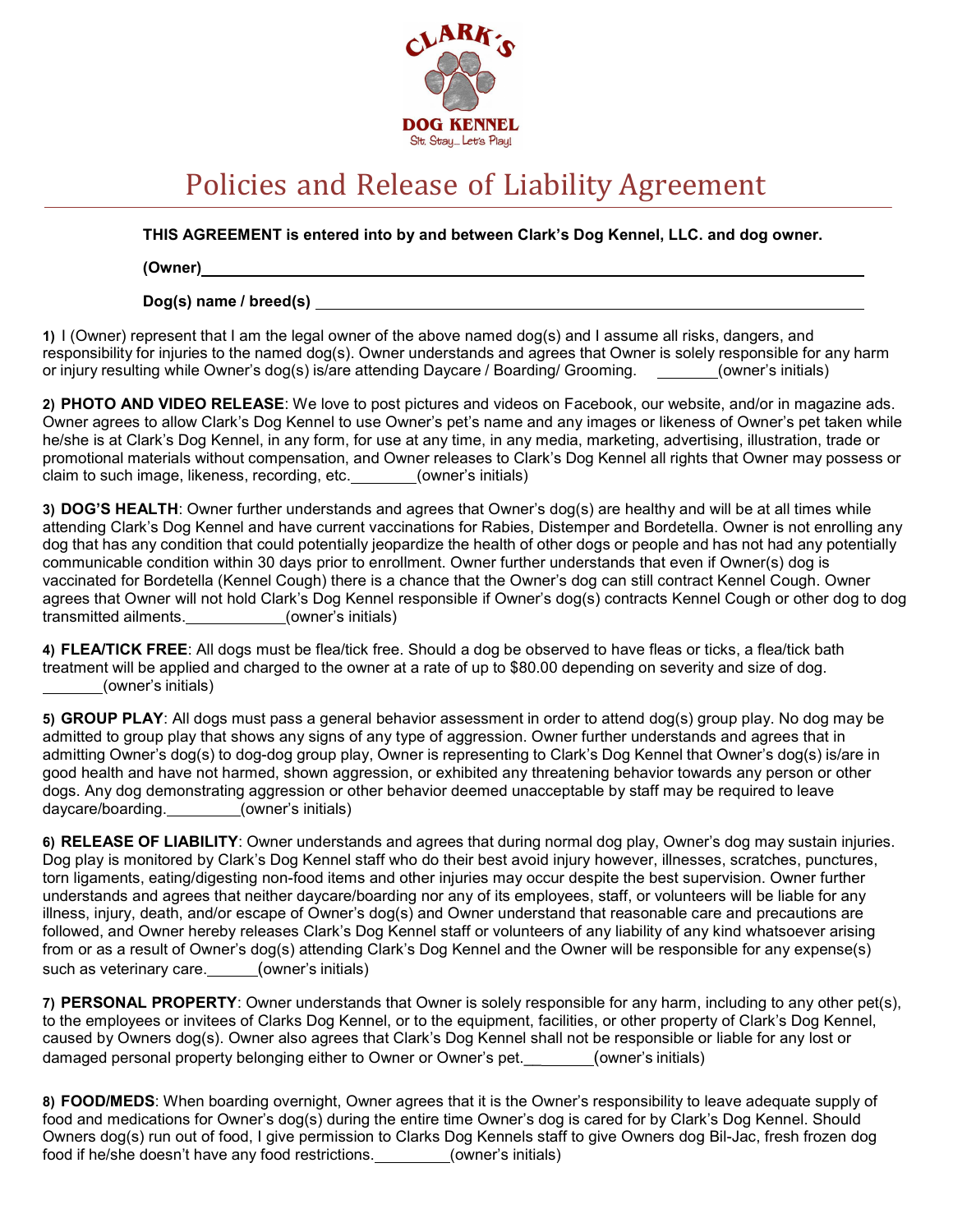

## Policies and Release of Liability Agreement

THIS AGREEMENT is entered into by and between Clark's Dog Kennel, LLC. and dog owner.

(Owner)

Dog(s) name / breed(s)

1) I (Owner) represent that I am the legal owner of the above named dog(s) and I assume all risks, dangers, and responsibility for injuries to the named dog(s). Owner understands and agrees that Owner is solely responsible for any harm or injury resulting while Owner's dog(s) is/are attending Daycare / Boarding/ Grooming. (owner's initials)

2) PHOTO AND VIDEO RELEASE: We love to post pictures and videos on Facebook, our website, and/or in magazine ads. Owner agrees to allow Clark's Dog Kennel to use Owner's pet's name and any images or likeness of Owner's pet taken while he/she is at Clark's Dog Kennel, in any form, for use at any time, in any media, marketing, advertising, illustration, trade or promotional materials without compensation, and Owner releases to Clark's Dog Kennel all rights that Owner may possess or claim to such image, likeness, recording, etc. \_\_\_\_\_\_\_(owner's initials)

3) DOG'S HEALTH: Owner further understands and agrees that Owner's dog(s) are healthy and will be at all times while attending Clark's Dog Kennel and have current vaccinations for Rabies, Distemper and Bordetella. Owner is not enrolling any dog that has any condition that could potentially jeopardize the health of other dogs or people and has not had any potentially communicable condition within 30 days prior to enrollment. Owner further understands that even if Owner(s) dog is vaccinated for Bordetella (Kennel Cough) there is a chance that the Owner's dog can still contract Kennel Cough. Owner agrees that Owner will not hold Clark's Dog Kennel responsible if Owner's dog(s) contracts Kennel Cough or other dog to dog transmitted ailments. (owner's initials)

4) FLEA/TICK FREE: All dogs must be flea/tick free. Should a dog be observed to have fleas or ticks, a flea/tick bath treatment will be applied and charged to the owner at a rate of up to \$80.00 depending on severity and size of dog. (owner's initials)

5) GROUP PLAY: All dogs must pass a general behavior assessment in order to attend dog(s) group play. No dog may be admitted to group play that shows any signs of any type of aggression. Owner further understands and agrees that in admitting Owner's dog(s) to dog-dog group play, Owner is representing to Clark's Dog Kennel that Owner's dog(s) is/are in good health and have not harmed, shown aggression, or exhibited any threatening behavior towards any person or other dogs. Any dog demonstrating aggression or other behavior deemed unacceptable by staff may be required to leave daycare/boarding. (owner's initials)

6) RELEASE OF LIABILITY: Owner understands and agrees that during normal dog play, Owner's dog may sustain injuries. Dog play is monitored by Clark's Dog Kennel staff who do their best avoid injury however, illnesses, scratches, punctures, torn ligaments, eating/digesting non-food items and other injuries may occur despite the best supervision. Owner further understands and agrees that neither daycare/boarding nor any of its employees, staff, or volunteers will be liable for any illness, injury, death, and/or escape of Owner's dog(s) and Owner understand that reasonable care and precautions are followed, and Owner hereby releases Clark's Dog Kennel staff or volunteers of any liability of any kind whatsoever arising from or as a result of Owner's dog(s) attending Clark's Dog Kennel and the Owner will be responsible for any expense(s) such as veterinary care. (owner's initials)

7) PERSONAL PROPERTY: Owner understands that Owner is solely responsible for any harm, including to any other pet(s), to the employees or invitees of Clarks Dog Kennel, or to the equipment, facilities, or other property of Clark's Dog Kennel, caused by Owners dog(s). Owner also agrees that Clark's Dog Kennel shall not be responsible or liable for any lost or damaged personal property belonging either to Owner or Owner's pet. \_\_\_\_\_\_\_(owner's initials)

8) FOOD/MEDS: When boarding overnight, Owner agrees that it is the Owner's responsibility to leave adequate supply of food and medications for Owner's dog(s) during the entire time Owner's dog is cared for by Clark's Dog Kennel. Should Owners dog(s) run out of food, I give permission to Clarks Dog Kennels staff to give Owners dog Bil-Jac, fresh frozen dog food if he/she doesn't have any food restrictions. \_\_\_\_\_\_\_\_(owner's initials)